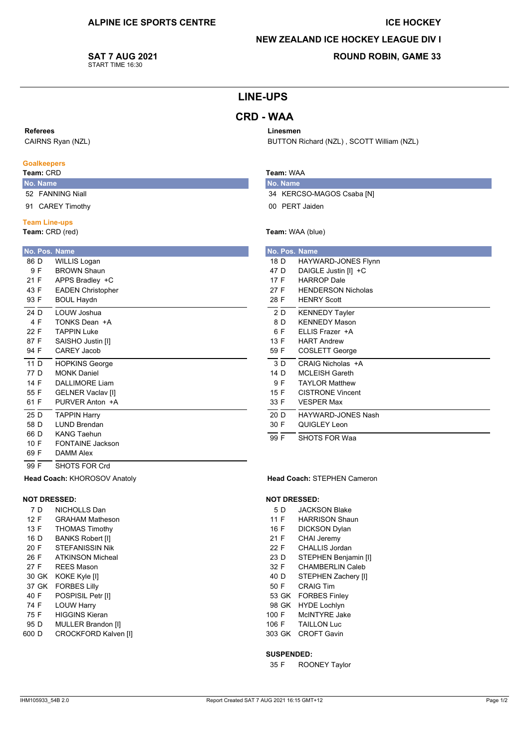### **ICE HOCKEY**

## **NEW ZEALAND ICE HOCKEY LEAGUE DIV I**

BUTTON Richard (NZL), SCOTT William (NZL)

**SAT 7 AUG 2021** START TIME 16:30

# **ROUND ROBIN, GAME 33**

# **LINE-UPS**

# **CRD - WAA**

### Referees

CAIRNS Ryan (NZL)

### **Goalkeepers**

## Team: CRD

No. Name 52 FANNING Niall

91 CAREY Timothy

### **Team Line-ups**

Team: CRD (red)

| No. Pos. Name |                          |
|---------------|--------------------------|
| 86 D          | <b>WILLIS Logan</b>      |
| 9 F           | <b>BROWN Shaun</b>       |
| 21 F          | APPS Bradley +C          |
| 43 F          | <b>EADEN Christopher</b> |
| 93 F          | <b>BOUL Haydn</b>        |
| 24 D          | I OUW Joshua             |
| 4 F           | TONKS Dean +A            |
| 22 F          | TAPPIN Luke              |
| 87 F          | SAISHO Justin [I]        |
| 94 F          | CAREY Jacob              |
| 11 D          | <b>HOPKINS George</b>    |
| 77 D          | <b>MONK Daniel</b>       |
| 14 F          | DALL IMORE Liam          |
| 55 F          | <b>GELNER Vaclav [I]</b> |
| 61 F          | PURVER Anton +A          |
| 25 D          | <b>TAPPIN Harry</b>      |
| 58 D          | I UND Brendan            |
| 66 D          | <b>KANG Taehun</b>       |
| 10 F          | FONTAINE Jackson         |
| 69 F          | <b>DAMM Alex</b>         |
| 99 F          | SHOTS FOR Crd            |

## Team: WAA

Linesmen

No. Name 34 KERCSO-MAGOS Csaba [N] 00 PERT Jaiden

### Team: WAA (blue)

|      | No. Pos. Name             |
|------|---------------------------|
| 18 D | HAYWARD-JONES Flynn       |
| 47 D | DAIGLE Justin [I] +C      |
| 17 F | <b>HARROP Dale</b>        |
| 27 F | <b>HENDERSON Nicholas</b> |
| 28 F | <b>HENRY Scott</b>        |
| 2 D  | <b>KENNEDY Tayler</b>     |
| 8 D  | <b>KENNEDY Mason</b>      |
| 6 F  | ELLIS Frazer +A           |
| 13 F | <b>HART Andrew</b>        |
| 59 F | COSLETT George            |
| 3 D  | CRAIG Nicholas +A         |
| 14 D | <b>MCLEISH Gareth</b>     |
| 9 F  | <b>TAYLOR Matthew</b>     |
| 15 F | <b>CISTRONE Vincent</b>   |
| 33 F | <b>VESPER Max</b>         |
| 20 D | HAYWARD-JONES Nash        |
| 30 F | QUIGLEY Leon              |
| 99 F | <b>SHOTS FOR Waa</b>      |

#### Head Coach: STEPHEN Cameron

#### **NOT DRESSED:**

- 5 D **JACKSON Blake**
- $11F$ **HARRISON Shaun**
- 16 F **DICKSON Dylan**
- 21 F CHAI Jeremy
- $22 F$ CHALLIS Jordan
- STEPHEN Benjamin [I]  $23D$
- 32 F CHAMBERLIN Caleb
- 40 D STEPHEN Zachery [I]
- 50 F **CRAIG Tim** 53 GK FORBES Finley
- 98 GK HYDE Lochlvn
- McINTYRE Jake 100 F
- 106 F **TAILLON Luc**
- 303 GK CROFT Gavin

#### **SUSPENDED:**

35 F **ROONEY Taylor** 

IHM105933 54B 2.0

Head Coach: KHOROSOV Anatoly

NICHOLLS Dan

**GRAHAM Matheson** 

**THOMAS Timothy** 

**BANKS Robert [I]** 

**STEFANISSIN Nik** 

**ATKINSON Micheal** 

POSPISIL Petr [I]

**HIGGINS Kieran** 

MULLER Brandon [I]

CROCKFORD Kalven [I]

**LOUW Harry** 

**REES Mason** 

30 GK KOKE Kyle [I]

37 GK FORBES Lilly

**NOT DRESSED:** 

7 D

 $12 F$ 

13 F

16 D

 $20 F$ 

 $26 F$ 

27 F

40 F

74 F

75 F

95 D

600 D